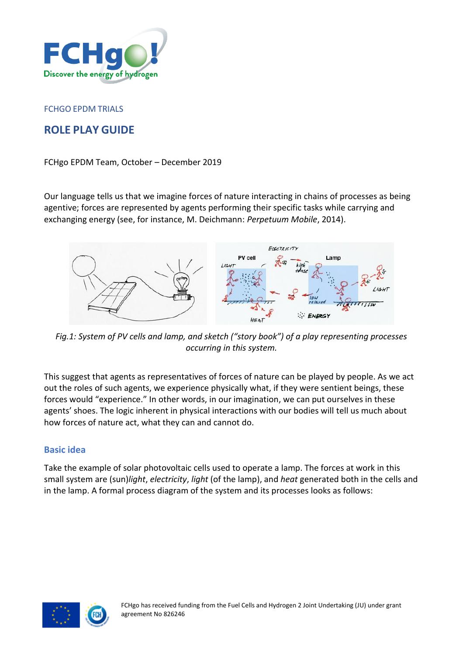

#### FCHGO EPDM TRIALS

# **ROLE PLAY GUIDE**

#### FCHgo EPDM Team, October – December 2019

Our language tells us that we imagine forces of nature interacting in chains of processes as being agentive; forces are represented by agents performing their specific tasks while carrying and exchanging energy (see, for instance, M. Deichmann: *Perpetuum Mobile*, 2014).



*Fig.1: System of PV cells and lamp, and sketch ("story book") of a play representing processes occurring in this system.*

This suggest that agents as representatives of forces of nature can be played by people. As we act out the roles of such agents, we experience physically what, if they were sentient beings, these forces would "experience." In other words, in our imagination, we can put ourselves in these agents' shoes. The logic inherent in physical interactions with our bodies will tell us much about how forces of nature act, what they can and cannot do.

### **Basic idea**

Take the example of solar photovoltaic cells used to operate a lamp. The forces at work in this small system are (sun)*light*, *electricity*, *light* (of the lamp), and *heat* generated both in the cells and in the lamp. A formal process diagram of the system and its processes looks as follows:

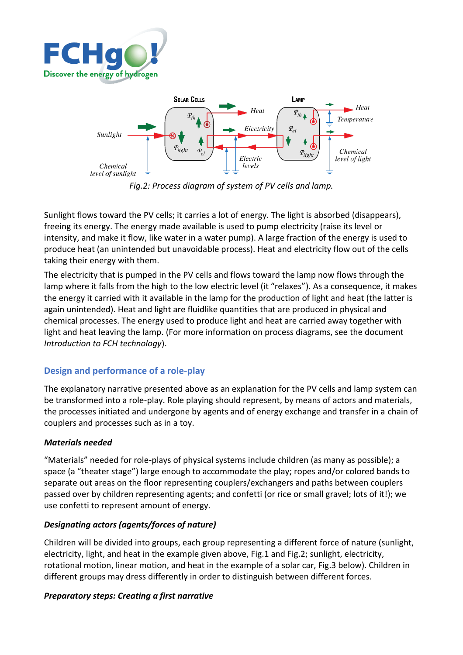



*Fig.2: Process diagram of system of PV cells and lamp.*

Sunlight flows toward the PV cells; it carries a lot of energy. The light is absorbed (disappears), freeing its energy. The energy made available is used to pump electricity (raise its level or intensity, and make it flow, like water in a water pump). A large fraction of the energy is used to produce heat (an unintended but unavoidable process). Heat and electricity flow out of the cells taking their energy with them.

The electricity that is pumped in the PV cells and flows toward the lamp now flows through the lamp where it falls from the high to the low electric level (it "relaxes"). As a consequence, it makes the energy it carried with it available in the lamp for the production of light and heat (the latter is again unintended). Heat and light are fluidlike quantities that are produced in physical and chemical processes. The energy used to produce light and heat are carried away together with light and heat leaving the lamp. (For more information on process diagrams, see the document *Introduction to FCH technology*).

# **Design and performance of a role-play**

The explanatory narrative presented above as an explanation for the PV cells and lamp system can be transformed into a role-play. Role playing should represent, by means of actors and materials, the processes initiated and undergone by agents and of energy exchange and transfer in a chain of couplers and processes such as in a toy.

# *Materials needed*

"Materials" needed for role-plays of physical systems include children (as many as possible); a space (a "theater stage") large enough to accommodate the play; ropes and/or colored bands to separate out areas on the floor representing couplers/exchangers and paths between couplers passed over by children representing agents; and confetti (or rice or small gravel; lots of it!); we use confetti to represent amount of energy.

### *Designating actors (agents/forces of nature)*

Children will be divided into groups, each group representing a different force of nature (sunlight, electricity, light, and heat in the example given above, Fig.1 and Fig.2; sunlight, electricity, rotational motion, linear motion, and heat in the example of a solar car, Fig.3 below). Children in different groups may dress differently in order to distinguish between different forces.

### *Preparatory steps: Creating a first narrative*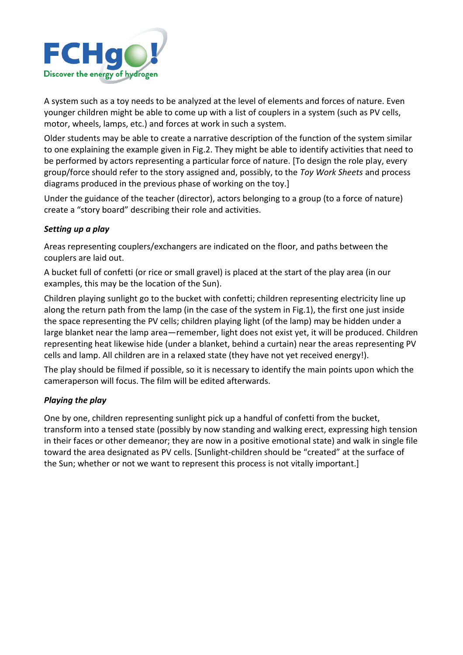

A system such as a toy needs to be analyzed at the level of elements and forces of nature. Even younger children might be able to come up with a list of couplers in a system (such as PV cells, motor, wheels, lamps, etc.) and forces at work in such a system.

Older students may be able to create a narrative description of the function of the system similar to one explaining the example given in Fig.2. They might be able to identify activities that need to be performed by actors representing a particular force of nature. [To design the role play, every group/force should refer to the story assigned and, possibly, to the *Toy Work Sheets* and process diagrams produced in the previous phase of working on the toy.]

Under the guidance of the teacher (director), actors belonging to a group (to a force of nature) create a "story board" describing their role and activities.

### *Setting up a play*

Areas representing couplers/exchangers are indicated on the floor, and paths between the couplers are laid out.

A bucket full of confetti (or rice or small gravel) is placed at the start of the play area (in our examples, this may be the location of the Sun).

Children playing sunlight go to the bucket with confetti; children representing electricity line up along the return path from the lamp (in the case of the system in Fig.1), the first one just inside the space representing the PV cells; children playing light (of the lamp) may be hidden under a large blanket near the lamp area—remember, light does not exist yet, it will be produced. Children representing heat likewise hide (under a blanket, behind a curtain) near the areas representing PV cells and lamp. All children are in a relaxed state (they have not yet received energy!).

The play should be filmed if possible, so it is necessary to identify the main points upon which the cameraperson will focus. The film will be edited afterwards.

### *Playing the play*

One by one, children representing sunlight pick up a handful of confetti from the bucket, transform into a tensed state (possibly by now standing and walking erect, expressing high tension in their faces or other demeanor; they are now in a positive emotional state) and walk in single file toward the area designated as PV cells. [Sunlight-children should be "created" at the surface of the Sun; whether or not we want to represent this process is not vitally important.]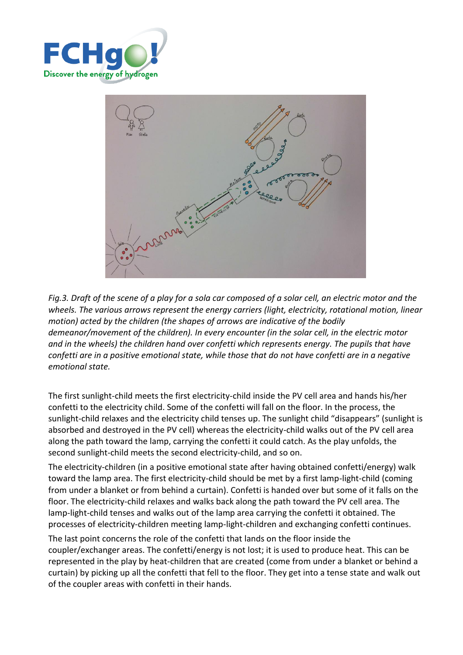



*Fig.3. Draft of the scene of a play for a sola car composed of a solar cell, an electric motor and the wheels. The various arrows represent the energy carriers (light, electricity, rotational motion, linear motion) acted by the children (the shapes of arrows are indicative of the bodily demeanor/movement of the children). In every encounter (in the solar cell, in the electric motor and in the wheels) the children hand over confetti which represents energy. The pupils that have confetti are in a positive emotional state, while those that do not have confetti are in a negative emotional state.* 

The first sunlight-child meets the first electricity-child inside the PV cell area and hands his/her confetti to the electricity child. Some of the confetti will fall on the floor. In the process, the sunlight-child relaxes and the electricity child tenses up. The sunlight child "disappears" (sunlight is absorbed and destroyed in the PV cell) whereas the electricity-child walks out of the PV cell area along the path toward the lamp, carrying the confetti it could catch. As the play unfolds, the second sunlight-child meets the second electricity-child, and so on.

The electricity-children (in a positive emotional state after having obtained confetti/energy) walk toward the lamp area. The first electricity-child should be met by a first lamp-light-child (coming from under a blanket or from behind a curtain). Confetti is handed over but some of it falls on the floor. The electricity-child relaxes and walks back along the path toward the PV cell area. The lamp-light-child tenses and walks out of the lamp area carrying the confetti it obtained. The processes of electricity-children meeting lamp-light-children and exchanging confetti continues.

The last point concerns the role of the confetti that lands on the floor inside the coupler/exchanger areas. The confetti/energy is not lost; it is used to produce heat. This can be represented in the play by heat-children that are created (come from under a blanket or behind a curtain) by picking up all the confetti that fell to the floor. They get into a tense state and walk out of the coupler areas with confetti in their hands.